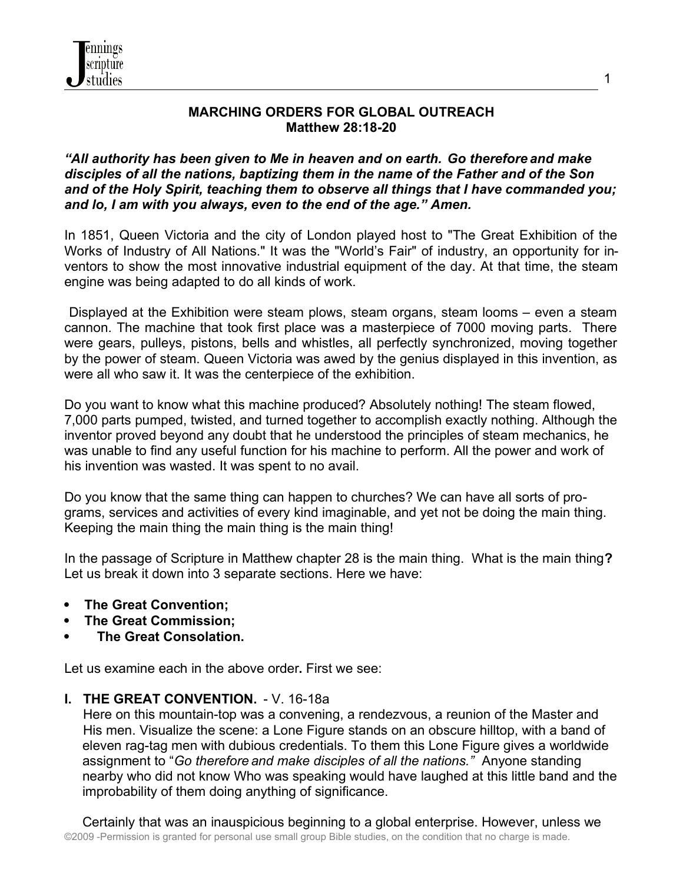

#### **MARCHING ORDERS FOR GLOBAL OUTREACH Matthew 28:18-20**

#### *"All authority has been given to Me in heaven and on earth. Go therefore and make disciples of all the nations, baptizing them in the name of the Father and of the Son and of the Holy Spirit, teaching them to observe all things that I have commanded you; and lo, I am with you always, even to the end of the age." Amen.*

In 1851, Queen Victoria and the city of London played host to "The Great Exhibition of the Works of Industry of All Nations." It was the "World's Fair" of industry, an opportunity for inventors to show the most innovative industrial equipment of the day. At that time, the steam engine was being adapted to do all kinds of work.

 Displayed at the Exhibition were steam plows, steam organs, steam looms – even a steam cannon. The machine that took first place was a masterpiece of 7000 moving parts. There were gears, pulleys, pistons, bells and whistles, all perfectly synchronized, moving together by the power of steam. Queen Victoria was awed by the genius displayed in this invention, as were all who saw it. It was the centerpiece of the exhibition.

Do you want to know what this machine produced? Absolutely nothing! The steam flowed, 7,000 parts pumped, twisted, and turned together to accomplish exactly nothing. Although the inventor proved beyond any doubt that he understood the principles of steam mechanics, he was unable to find any useful function for his machine to perform. All the power and work of his invention was wasted. It was spent to no avail.

Do you know that the same thing can happen to churches? We can have all sorts of programs, services and activities of every kind imaginable, and yet not be doing the main thing. Keeping the main thing the main thing is the main thing!

In the passage of Scripture in Matthew chapter 28 is the main thing. What is the main thing**?** Let us break it down into 3 separate sections. Here we have:

- **The Great Convention;**
- **The Great Commission;**
- **The Great Consolation.**

Let us examine each in the above order**.** First we see:

#### **I. THE GREAT CONVENTION.** - V. 16-18a

 Here on this mountain-top was a convening, a rendezvous, a reunion of the Master and His men. Visualize the scene: a Lone Figure stands on an obscure hilltop, with a band of eleven rag-tag men with dubious credentials. To them this Lone Figure gives a worldwide assignment to "*Go therefore and make disciples of all the nations."* Anyone standing nearby who did not know Who was speaking would have laughed at this little band and the improbability of them doing anything of significance.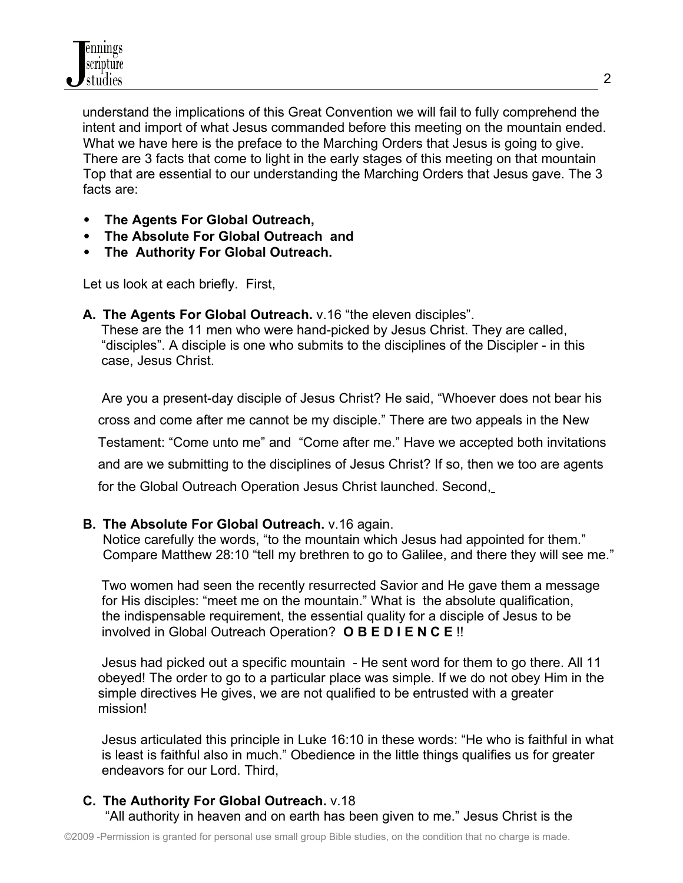understand the implications of this Great Convention we will fail to fully comprehend the intent and import of what Jesus commanded before this meeting on the mountain ended. What we have here is the preface to the Marching Orders that Jesus is going to give. There are 3 facts that come to light in the early stages of this meeting on that mountain Top that are essential to our understanding the Marching Orders that Jesus gave. The 3 facts are:

- **The Agents For Global Outreach,**
- **The Absolute For Global Outreach and**
- **The Authority For Global Outreach.**

Let us look at each briefly. First,

**A. The Agents For Global Outreach.** v.16 "the eleven disciples".

These are the 11 men who were hand-picked by Jesus Christ. They are called, "disciples". A disciple is one who submits to the disciplines of the Discipler - in this case, Jesus Christ.

 Are you a present-day disciple of Jesus Christ? He said, "Whoever does not bear his cross and come after me cannot be my disciple." There are two appeals in the New Testament: "Come unto me" and "Come after me." Have we accepted both invitations and are we submitting to the disciplines of Jesus Christ? If so, then we too are agents for the Global Outreach Operation Jesus Christ launched. Second,

# **B. The Absolute For Global Outreach.** v.16 again.

Notice carefully the words, "to the mountain which Jesus had appointed for them." Compare Matthew 28:10 "tell my brethren to go to Galilee, and there they will see me."

 Two women had seen the recently resurrected Savior and He gave them a message for His disciples: "meet me on the mountain." What is the absolute qualification, the indispensable requirement, the essential quality for a disciple of Jesus to be involved in Global Outreach Operation? **O B E D I E N C E** !!

 Jesus had picked out a specific mountain - He sent word for them to go there. All 11 obeyed! The order to go to a particular place was simple. If we do not obey Him in the simple directives He gives, we are not qualified to be entrusted with a greater mission!

 Jesus articulated this principle in Luke 16:10 in these words: "He who is faithful in what is least is faithful also in much." Obedience in the little things qualifies us for greater endeavors for our Lord. Third,

# **C. The Authority For Global Outreach.** v.18

"All authority in heaven and on earth has been given to me." Jesus Christ is the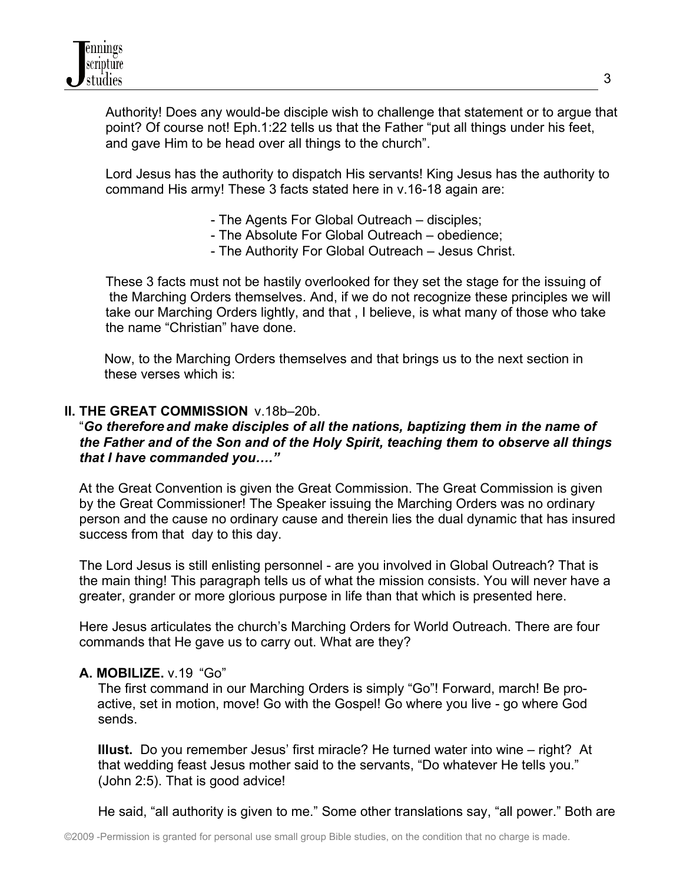Authority! Does any would-be disciple wish to challenge that statement or to argue that point? Of course not! Eph.1:22 tells us that the Father "put all things under his feet, and gave Him to be head over all things to the church".

 Lord Jesus has the authority to dispatch His servants! King Jesus has the authority to command His army! These 3 facts stated here in v.16-18 again are:

- The Agents For Global Outreach disciples;
- The Absolute For Global Outreach obedience;
- The Authority For Global Outreach Jesus Christ.

 These 3 facts must not be hastily overlooked for they set the stage for the issuing of the Marching Orders themselves. And, if we do not recognize these principles we will take our Marching Orders lightly, and that , I believe, is what many of those who take the name "Christian" have done.

Now, to the Marching Orders themselves and that brings us to the next section in these verses which is:

### **II. THE GREAT COMMISSION** v.18b–20b.

#### "*Go therefore and make disciples of all the nations, baptizing them in the name of the Father and of the Son and of the Holy Spirit, teaching them to observe all things that I have commanded you…."*

 At the Great Convention is given the Great Commission. The Great Commission is given by the Great Commissioner! The Speaker issuing the Marching Orders was no ordinary person and the cause no ordinary cause and therein lies the dual dynamic that has insured success from that day to this day.

 The Lord Jesus is still enlisting personnel - are you involved in Global Outreach? That is the main thing! This paragraph tells us of what the mission consists. You will never have a greater, grander or more glorious purpose in life than that which is presented here.

 Here Jesus articulates the church's Marching Orders for World Outreach. There are four commands that He gave us to carry out. What are they?

#### **A. MOBILIZE.** v.19"Go"

 The first command in our Marching Orders is simply "Go"! Forward, march! Be pro active, set in motion, move! Go with the Gospel! Go where you live - go where God sends.

 **Illust.** Do you remember Jesus' first miracle? He turned water into wine – right? At that wedding feast Jesus mother said to the servants, "Do whatever He tells you." (John 2:5). That is good advice!

He said, "all authority is given to me." Some other translations say, "all power." Both are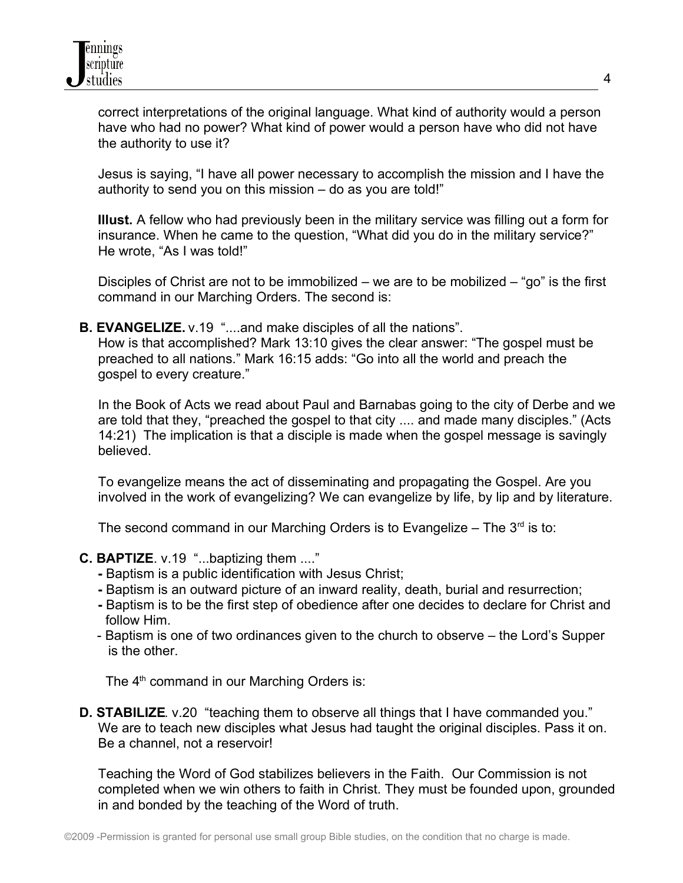correct interpretations of the original language. What kind of authority would a person have who had no power? What kind of power would a person have who did not have the authority to use it?

 Jesus is saying, "I have all power necessary to accomplish the mission and I have the authority to send you on this mission – do as you are told!"

 **Illust.** A fellow who had previously been in the military service was filling out a form for insurance. When he came to the question, "What did you do in the military service?" He wrote, "As I was told!"

Disciples of Christ are not to be immobilized – we are to be mobilized – "go" is the first command in our Marching Orders. The second is:

 **B. EVANGELIZE.** v.19 "....and make disciples of all the nations".

 How is that accomplished? Mark 13:10 gives the clear answer: "The gospel must be preached to all nations." Mark 16:15 adds: "Go into all the world and preach the gospel to every creature."

 In the Book of Acts we read about Paul and Barnabas going to the city of Derbe and we are told that they, "preached the gospel to that city .... and made many disciples." (Acts 14:21) The implication is that a disciple is made when the gospel message is savingly believed.

 To evangelize means the act of disseminating and propagating the Gospel. Are you involved in the work of evangelizing? We can evangelize by life, by lip and by literature.

The second command in our Marching Orders is to Evangelize – The  $3<sup>rd</sup>$  is to:

- **C. BAPTIZE**. v.19 "...baptizing them ...."
	- Baptism is a public identification with Jesus Christ;
	- Baptism is an outward picture of an inward reality, death, burial and resurrection;
	- Baptism is to be the first step of obedience after one decides to declare for Christ and follow Him.
	- Baptism is one of two ordinances given to the church to observe the Lord's Supper is the other.

The  $4<sup>th</sup>$  command in our Marching Orders is:

**D. STABILIZE**. v.20 "teaching them to observe all things that I have commanded you." We are to teach new disciples what Jesus had taught the original disciples. Pass it on. Be a channel, not a reservoir!

 Teaching the Word of God stabilizes believers in the Faith. Our Commission is not completed when we win others to faith in Christ. They must be founded upon, grounded in and bonded by the teaching of the Word of truth.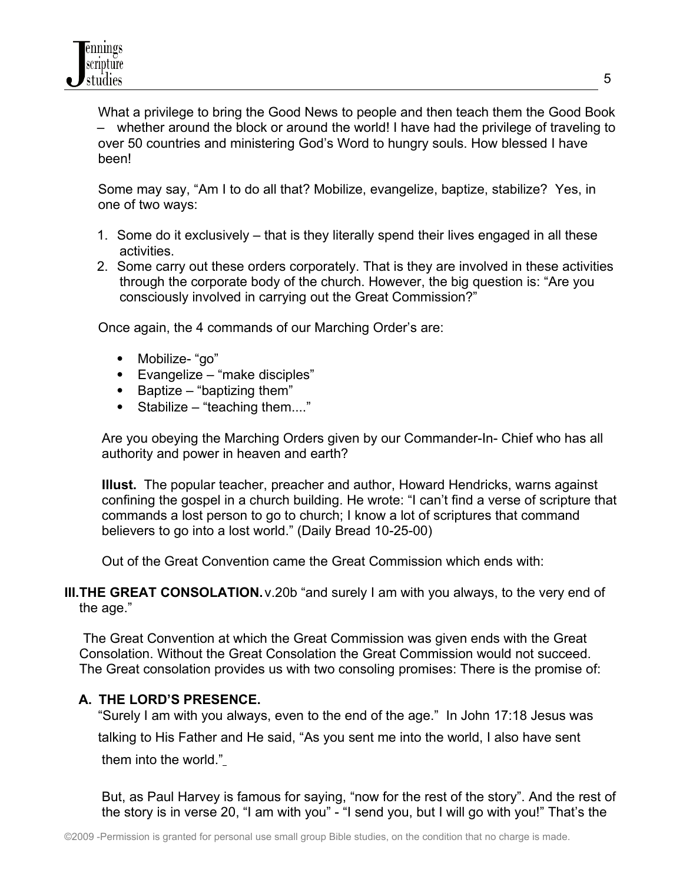What a privilege to bring the Good News to people and then teach them the Good Book – whether around the block or around the world! I have had the privilege of traveling to over 50 countries and ministering God's Word to hungry souls. How blessed I have been!

 Some may say, "Am I to do all that? Mobilize, evangelize, baptize, stabilize? Yes, in one of two ways:

- 1. Some do it exclusively that is they literally spend their lives engaged in all these activities.
- 2. Some carry out these orders corporately. That is they are involved in these activities through the corporate body of the church. However, the big question is: "Are you consciously involved in carrying out the Great Commission?"

Once again, the 4 commands of our Marching Order's are:

- Mobilize- "go"
- Evangelize "make disciples"
- $\bullet$  Baptize "baptizing them"
- Stabilize "teaching them...."

 Are you obeying the Marching Orders given by our Commander-In- Chief who has all authority and power in heaven and earth?

 **Illust.** The popular teacher, preacher and author, Howard Hendricks, warns against confining the gospel in a church building. He wrote: "I can't find a verse of scripture that commands a lost person to go to church; I know a lot of scriptures that command believers to go into a lost world." (Daily Bread 10-25-00)

Out of the Great Convention came the Great Commission which ends with:

**III. THE GREAT CONSOLATION.** v.20b "and surely I am with you always, to the very end of the age."

 The Great Convention at which the Great Commission was given ends with the Great Consolation. Without the Great Consolation the Great Commission would not succeed. The Great consolation provides us with two consoling promises: There is the promise of:

## **A. THE LORD'S PRESENCE.**

 "Surely I am with you always, even to the end of the age." In John 17:18 Jesus was talking to His Father and He said, "As you sent me into the world, I also have sent them into the world."

 But, as Paul Harvey is famous for saying, "now for the rest of the story". And the rest of the story is in verse 20, "I am with you" - "I send you, but I will go with you!" That's the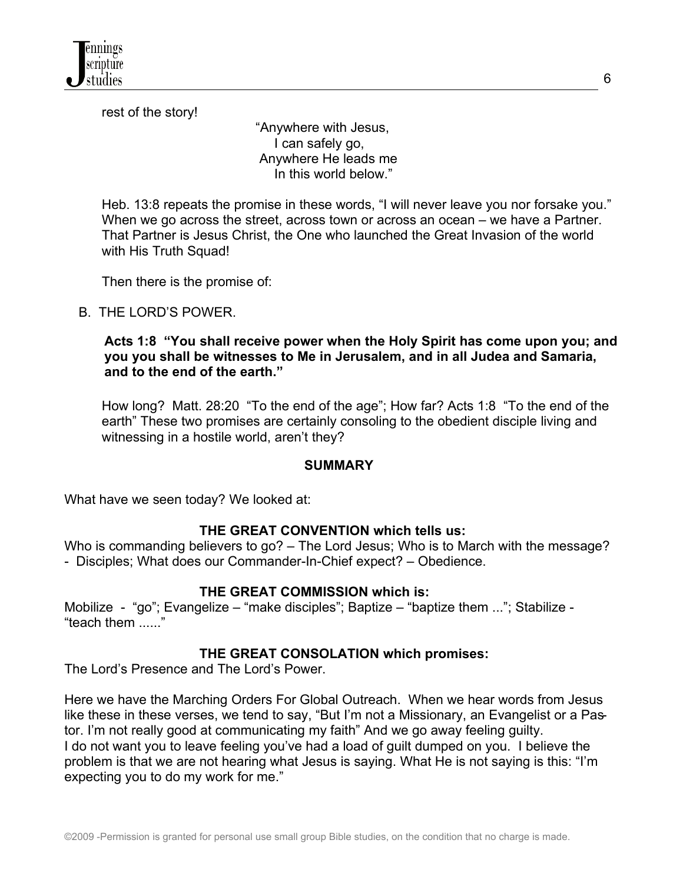rest of the story!

 "Anywhere with Jesus, I can safely go, Anywhere He leads me In this world below."

 Heb. 13:8 repeats the promise in these words, "I will never leave you nor forsake you." When we go across the street, across town or across an ocean – we have a Partner. That Partner is Jesus Christ, the One who launched the Great Invasion of the world with His Truth Squad!

Then there is the promise of:

B. THE LORD'S POWER.

**Acts 1:8 "You shall receive power when the Holy Spirit has come upon you; and you you shall be witnesses to Me in Jerusalem, and in all Judea and Samaria, and to the end of the earth."**

 How long? Matt. 28:20 "To the end of the age"; How far? Acts 1:8 "To the end of the earth" These two promises are certainly consoling to the obedient disciple living and witnessing in a hostile world, aren't they?

#### **SUMMARY**

What have we seen today? We looked at:

#### **THE GREAT CONVENTION which tells us:**

Who is commanding believers to go? – The Lord Jesus; Who is to March with the message? - Disciples; What does our Commander-In-Chief expect? – Obedience.

#### **THE GREAT COMMISSION which is:**

Mobilize - "go"; Evangelize – "make disciples"; Baptize – "baptize them ..."; Stabilize -"teach them ......"

#### **THE GREAT CONSOLATION which promises:**

The Lord's Presence and The Lord's Power.

Here we have the Marching Orders For Global Outreach. When we hear words from Jesus like these in these verses, we tend to say, "But I'm not a Missionary, an Evangelist or a Pastor. I'm not really good at communicating my faith" And we go away feeling guilty. I do not want you to leave feeling you've had a load of guilt dumped on you. I believe the problem is that we are not hearing what Jesus is saying. What He is not saying is this: "I'm expecting you to do my work for me."